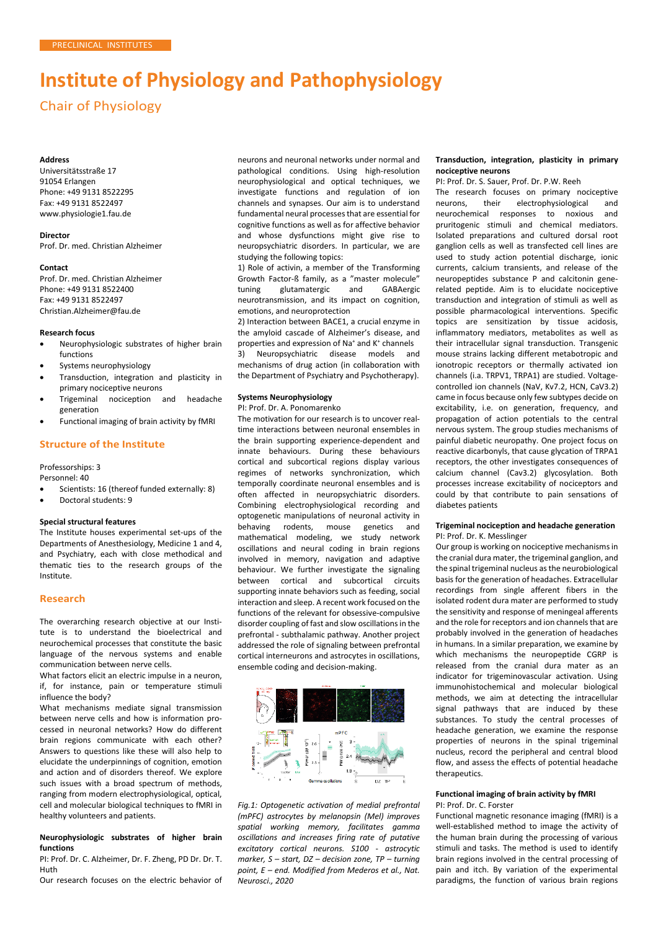# **Institute of Physiology and Pathophysiology**

Chair of Physiology

#### **Address**

Universitätsstraße 17 91054 Erlangen Phone: +49 9131 8522295 Fax: +49 9131 8522497 [www.physiologie1.fau.de](http://www.physiologie1.fau.de/)

# **Director**

Prof. Dr. med. Christian Alzheimer

#### **Contact**

Prof. Dr. med. Christian Alzheimer Phone: +49 9131 8522400 Fax: +49 9131 8522497 [Christian.Alzheimer@fau.de](mailto:Christian.Alzheimer@fau.de)

# **Research focus**

- Neurophysiologic substrates of higher brain functions
- Systems neurophysiology
- Transduction, integration and plasticity in primary nociceptive neurons
- Trigeminal nociception and headache generation
- Functional imaging of brain activity by fMRI

# **Structure of the Institute**

Professorships: 3

Personnel: 40

- Scientists: 16 (thereof funded externally: 8)
- Doctoral students: 9

#### **Special structural features**

The Institute houses experimental set-ups of the Departments of Anesthesiology, Medicine 1 and 4, and Psychiatry, each with close methodical and thematic ties to the research groups of the Institute.

# **Research**

The overarching research objective at our Institute is to understand the bioelectrical and neurochemical processes that constitute the basic language of the nervous systems and enable communication between nerve cells.

What factors elicit an electric impulse in a neuron, if, for instance, pain or temperature stimuli influence the body?

What mechanisms mediate signal transmission between nerve cells and how is information processed in neuronal networks? How do different brain regions communicate with each other? Answers to questions like these will also help to elucidate the underpinnings of cognition, emotion and action and of disorders thereof. We explore such issues with a broad spectrum of methods, ranging from modern electrophysiological, optical, cell and molecular biological techniques to fMRI in healthy volunteers and patients.

## **Neurophysiologic substrates of higher brain functions**

PI: Prof. Dr. C. Alzheimer, Dr. F. Zheng, PD Dr. Dr. T. Huth

Our research focuses on the electric behavior of

neurons and neuronal networks under normal and pathological conditions. Using high-resolution neurophysiological and optical techniques, we investigate functions and regulation of ion channels and synapses. Our aim is to understand fundamental neural processes that are essential for cognitive functions as well as for affective behavior and whose dysfunctions might give rise to neuropsychiatric disorders. In particular, we are studying the following topics:

1) Role of activin, a member of the Transforming Growth Factor-ß family, as a "master molecule"<br>tuning glutamatergic and GABAergic tuning glutamatergic and GABAergic neurotransmission, and its impact on cognition, emotions, and neuroprotection

2) Interaction between BACE1, a crucial enzyme in the amyloid cascade of Alzheimer's disease, and properties and expression of Na<sup>+</sup> and K<sup>+</sup> channels<br>3) Neuropsychiatric disease models an

Neuropsychiatric disease models and mechanisms of drug action (in collaboration with the Department of Psychiatry and Psychotherapy).

## **Systems Neurophysiology**

PI: Prof. Dr. A. Ponomarenko

The motivation for our research is to uncover realtime interactions between neuronal ensembles in the brain supporting experience-dependent and innate behaviours. During these behaviours cortical and subcortical regions display various regimes of networks synchronization, which temporally coordinate neuronal ensembles and is often affected in neuropsychiatric disorders. Combining electrophysiological recording and optogenetic manipulations of neuronal activity in behaving rodents, mouse genetics and mathematical modeling, we study network oscillations and neural coding in brain regions involved in memory, navigation and adaptive behaviour. We further investigate the signaling between cortical and subcortical circuits supporting innate behaviors such as feeding, social interaction and sleep. A recent work focused on the functions of the relevant for obsessive-compulsive disorder coupling of fast and slow oscillations in the prefrontal - subthalamic pathway. Another project addressed the role of signaling between prefrontal cortical interneurons and astrocytes in oscillations, ensemble coding and decision-making.



*Fig.1: Optogenetic activation of medial prefrontal (mPFC) astrocytes by melanopsin (Mel) improves spatial working memory, facilitates gamma oscillations and increases firing rate of putative excitatory cortical neurons. S100 - astrocytic marker, S – start, DZ – decision zone, TP – turning point, E – end. Modified from Mederos et al., Nat. Neurosci., 2020*

## **Transduction, integration, plasticity in primary nociceptive neurons**

PI: Prof. Dr. S. Sauer, Prof. Dr. P.W. Reeh

The research focuses on primary nociceptive neurons, their electrophysiological and<br>neurochemical responses to noxious and neurochemical responses to noxious pruritogenic stimuli and chemical mediators. Isolated preparations and cultured dorsal root ganglion cells as well as transfected cell lines are used to study action potential discharge, ionic currents, calcium transients, and release of the neuropeptides substance P and calcitonin generelated peptide. Aim is to elucidate nociceptive transduction and integration of stimuli as well as possible pharmacological interventions. Specific topics are sensitization by tissue acidosis, inflammatory mediators, metabolites as well as their intracellular signal transduction. Transgenic mouse strains lacking different metabotropic and ionotropic receptors or thermally activated ion channels (i.a. TRPV1, TRPA1) are studied. Voltagecontrolled ion channels (NaV, Kv7.2, HCN, CaV3.2) came in focus because only few subtypes decide on excitability, i.e. on generation, frequency, and propagation of action potentials to the central nervous system. The group studies mechanisms of painful diabetic neuropathy. One project focus on reactive dicarbonyls, that cause glycation of TRPA1 receptors, the other investigates consequences of calcium channel (Cav3.2) glycosylation. Both processes increase excitability of nociceptors and could by that contribute to pain sensations of diabetes patients

## **Trigeminal nociception and headache generation** PI: Prof. Dr. K. Messlinger

Our group is working on nociceptive mechanisms in the cranial dura mater, the trigeminal ganglion, and the spinal trigeminal nucleus as the neurobiological basis for the generation of headaches. Extracellular recordings from single afferent fibers in the isolated rodent dura mater are performed to study the sensitivity and response of meningeal afferents and the role for receptors and ion channels that are probably involved in the generation of headaches in humans. In a similar preparation, we examine by which mechanisms the neuropeptide CGRP is released from the cranial dura mater as an indicator for trigeminovascular activation. Using immunohistochemical and molecular biological methods, we aim at detecting the intracellular signal pathways that are induced by these substances. To study the central processes of headache generation, we examine the response properties of neurons in the spinal trigeminal nucleus, record the peripheral and central blood flow, and assess the effects of potential headache therapeutics

## **Functional imaging of brain activity by fMRI** PI: Prof. Dr. C. Forster

Functional magnetic resonance imaging (fMRI) is a well-established method to image the activity of the human brain during the processing of various stimuli and tasks. The method is used to identify brain regions involved in the central processing of pain and itch. By variation of the experimental paradigms, the function of various brain regions